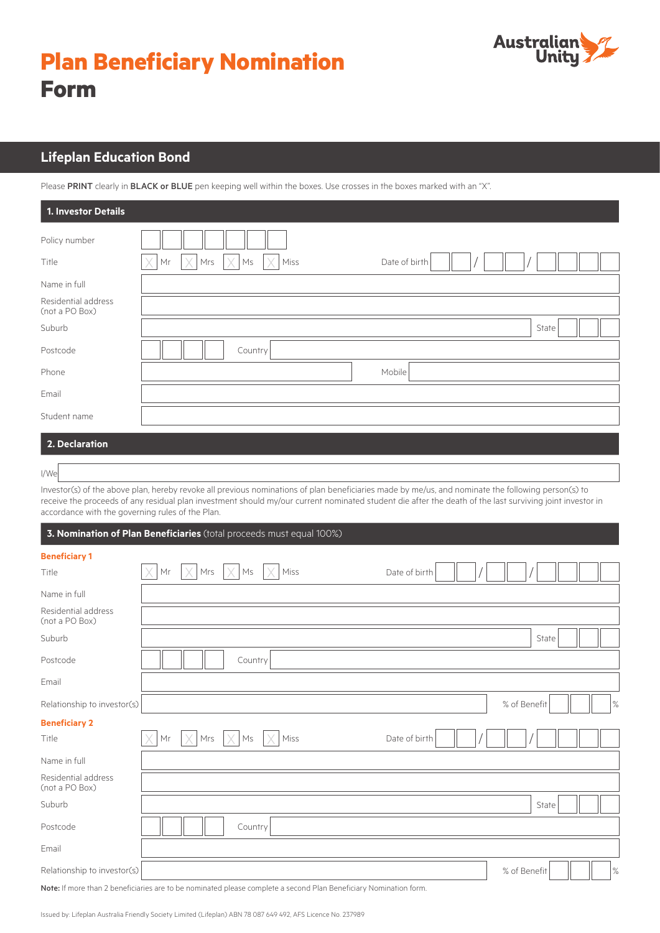# **Plan Beneficiary Nomination Form**



# **Lifeplan Education Bond**

Please PRINT clearly in BLACK or BLUE pen keeping well within the boxes. Use crosses in the boxes marked with an "X".

| 1. Investor Details                   |                                                                    |
|---------------------------------------|--------------------------------------------------------------------|
| Policy number<br>Title                | X<br>$\times$<br>$\times$ Miss<br>Mrs<br>Date of birth<br>Mr<br>Ms |
| Name in full                          |                                                                    |
| Residential address<br>(not a PO Box) |                                                                    |
| Suburb                                | State                                                              |
| Postcode                              | Country                                                            |
| Phone                                 | Mobile                                                             |
| Email                                 |                                                                    |
| Student name                          |                                                                    |
| 2. Declaration                        |                                                                    |

## **2. Declaration**

Investor(s) of the above plan, hereby revoke all previous nominations of plan beneficiaries made by me/us, and nominate the following person(s) to receive the proceeds of any residual plan investment should my/our current nominated student die after the death of the last surviving joint investor in accordance with the governing rules of the Plan.

#### **3. Nomination of Plan Beneficiaries** (total proceeds must equal 100%)

| <b>Beneficiary 1</b>                                                                                              |    |     |         |      |               |  |              |  |      |
|-------------------------------------------------------------------------------------------------------------------|----|-----|---------|------|---------------|--|--------------|--|------|
| Title                                                                                                             | Mr | Mrs | Ms      | Miss | Date of birth |  |              |  |      |
| Name in full                                                                                                      |    |     |         |      |               |  |              |  |      |
| Residential address<br>(not a PO Box)                                                                             |    |     |         |      |               |  |              |  |      |
| Suburb                                                                                                            |    |     |         |      |               |  | State        |  |      |
| Postcode                                                                                                          |    |     | Country |      |               |  |              |  |      |
| Email                                                                                                             |    |     |         |      |               |  |              |  |      |
| Relationship to investor(s)                                                                                       |    |     |         |      |               |  | % of Benefit |  | $\%$ |
| <b>Beneficiary 2</b>                                                                                              |    |     |         |      |               |  |              |  |      |
| Title                                                                                                             | Mr | Mrs | Ms      | Miss | Date of birth |  |              |  |      |
| Name in full                                                                                                      |    |     |         |      |               |  |              |  |      |
| Residential address<br>(not a PO Box)                                                                             |    |     |         |      |               |  |              |  |      |
| Suburb                                                                                                            |    |     |         |      |               |  | State        |  |      |
| Postcode                                                                                                          |    |     | Country |      |               |  |              |  |      |
| Email                                                                                                             |    |     |         |      |               |  |              |  |      |
| Relationship to investor(s)                                                                                       |    |     |         |      |               |  | % of Benefit |  | $\%$ |
| Note: If more than 2 beneficiaries are to be nominated please complete a second Plan Beneficiary Nomination form. |    |     |         |      |               |  |              |  |      |

I/We